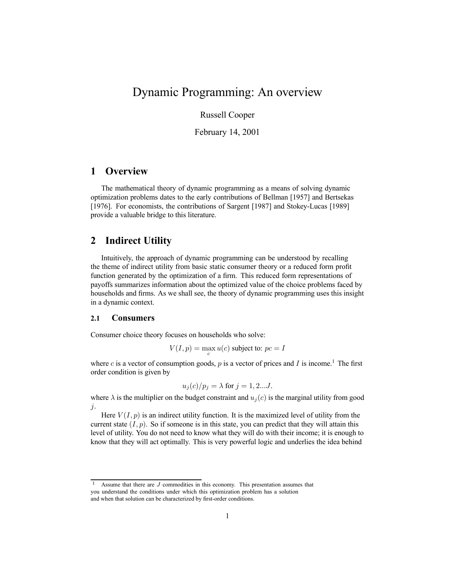# Dynamic Programming: An overview

Russell Cooper

February 14, 2001

# **1 Overview**

The mathematical theory of dynamic programming as a means of solving dynamic optimization problems dates to the early contributions of Bellman [1957] and Bertsekas [1976]. For economists, the contributions of Sargent [1987] and Stokey-Lucas [1989] provide a valuable bridge to this literature.

## **2 Indirect Utility**

Intuitively, the approach of dynamic programming can be understood by recalling the theme of indirect utility from basic static consumer theory or a reduced form profit function generated by the optimization of a firm. This reduced form representations of payoffs summarizes information about the optimized value of the choice problems faced by households and firms. As we shall see, the theory of dynamic programming uses this insight in a dynamic context.

#### **2.1 Consumers**

Consumer choice theory focuses on households who solve:

$$
V(I, p) = \max_{c} u(c)
$$
 subject to:  $pc = I$ 

where c is a vector of consumption goods, p is a vector of prices and I is income.<sup>1</sup> The first order condition is given by

$$
u_j(c)/p_j = \lambda \text{ for } j = 1, 2...J.
$$

where  $\lambda$  is the multiplier on the budget constraint and  $u_i(c)$  is the marginal utility from good j.

Here  $V(I, p)$  is an indirect utility function. It is the maximized level of utility from the current state  $(I, p)$ . So if someone is in this state, you can predict that they will attain this level of utility. You do not need to know what they will do with their income; it is enough to know that they will act optimally. This is very powerful logic and underlies the idea behind

<sup>&</sup>lt;sup>1</sup> Assume that there are  $J$  commodities in this economy. This presentation assumes that you understand the conditions under which this optimization problem has a solution

and when that solution can be characterized by first-order conditions.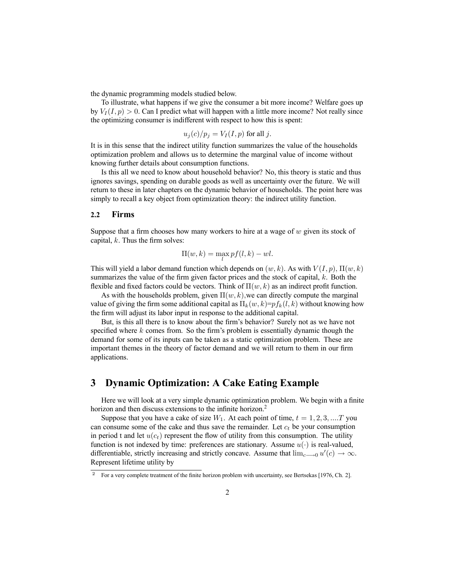the dynamic programming models studied below.

To illustrate, what happens if we give the consumer a bit more income? Welfare goes up by  $V_I(I,p) > 0$ . Can I predict what will happen with a little more income? Not really since the optimizing consumer is indifferent with respect to how this is spent:

$$
u_j(c)/p_j = V_I(I, p)
$$
 for all j.

It is in this sense that the indirect utility function summarizes the value of the households optimization problem and allows us to determine the marginal value of income without knowing further details about consumption functions.

Is this all we need to know about household behavior? No, this theory is static and thus ignores savings, spending on durable goods as well as uncertainty over the future. We will return to these in later chapters on the dynamic behavior of households. The point here was simply to recall a key object from optimization theory: the indirect utility function.

#### **2.2 Firms**

Suppose that a firm chooses how many workers to hire at a wage of  $w$  given its stock of capital,  $k$ . Thus the firm solves:

$$
\Pi(w,k) = \max_{l} pf(l,k) -wl.
$$

This will yield a labor demand function which depends on  $(w, k)$ . As with  $V(I, p)$ ,  $\Pi(w, k)$ summarizes the value of the firm given factor prices and the stock of capital,  $k$ . Both the flexible and fixed factors could be vectors. Think of  $\Pi(w, k)$  as an indirect profit function.

As with the households problem, given  $\Pi(w, k)$ , we can directly compute the marginal value of giving the firm some additional capital as  $\Pi_k(w, k)=p f_k(l, k)$  without knowing how the firm will adjust its labor input in response to the additional capital.

But, is this all there is to know about the firm's behavior? Surely not as we have not specified where  $k$  comes from. So the firm's problem is essentially dynamic though the demand for some of its inputs can be taken as a static optimization problem. These are important themes in the theory of factor demand and we will return to them in our firm applications.

## **3 Dynamic Optimization: A Cake Eating Example**

Here we will look at a very simple dynamic optimization problem. We begin with a finite horizon and then discuss extensions to the infinite horizon.<sup>2</sup>

Suppose that you have a cake of size  $W_1$ . At each point of time,  $t = 1, 2, 3, \dots T$  you can consume some of the cake and thus save the remainder. Let  $c_t$  be your consumption in period t and let  $u(c_t)$  represent the flow of utility from this consumption. The utility function is not indexed by time: preferences are stationary. Assume  $u(\cdot)$  is real-valued, differentiable, strictly increasing and strictly concave. Assume that  $\lim_{c\to 0} u'(c) \to \infty$ . Represent lifetime utility by

<sup>2</sup> For a very complete treatment of the finite horizon problem with uncertainty, see Bertsekas [1976, Ch. 2].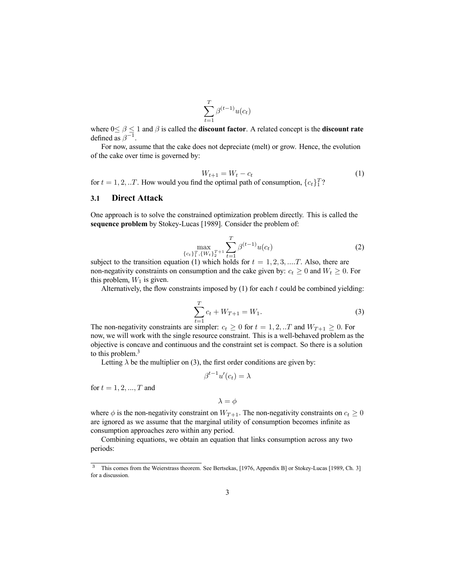$$
\sum_{t=1}^{T} \beta^{(t-1)} u(c_t)
$$

where  $0 \le \beta \le 1$  and  $\beta$  is called the **discount factor**. A related concept is the **discount rate** defined as  $\beta^{-1}$ .

For now, assume that the cake does not depreciate (melt) or grow. Hence, the evolution of the cake over time is governed by:

$$
W_{t+1} = W_t - c_t \tag{1}
$$

for  $t = 1, 2, ...T$ . How would you find the optimal path of consumption,  ${c_t}_{1}^{T}$ ?

#### **3.1 Direct Attack**

One approach is to solve the constrained optimization problem directly. This is called the **sequence problem** by Stokey-Lucas [1989]. Consider the problem of:

$$
\max_{\{c_t\}_{1}^T, \{W_t\}_{2}^{T+1}} \sum_{t=1}^T \beta^{(t-1)} u(c_t)
$$
 (2)

subject to the transition equation (1) which holds for  $t = 1, 2, 3, ...T$ . Also, there are non-negativity constraints on consumption and the cake given by:  $c_t \geq 0$  and  $W_t \geq 0$ . For this problem,  $W_1$  is given.

Alternatively, the flow constraints imposed by  $(1)$  for each t could be combined yielding:

$$
\sum_{t=1}^{T} c_t + W_{T+1} = W_1.
$$
 (3)

The non-negativity constraints are simpler:  $c_t \ge 0$  for  $t = 1, 2, ...T$  and  $W_{T+1} \ge 0$ . For now, we will work with the single resource constraint. This is a well-behaved problem as the objective is concave and continuous and the constraint set is compact. So there is a solution to this problem.<sup>3</sup>

Letting  $\lambda$  be the multiplier on (3), the first order conditions are given by:

$$
\beta^{t-1}u'(c_t) = \lambda
$$

for  $t = 1, 2, ..., T$  and

$$
\lambda = \phi
$$

where  $\phi$  is the non-negativity constraint on  $W_{T+1}$ . The non-negativity constraints on  $c_t \geq 0$ are ignored as we assume that the marginal utility of consumption becomes infinite as consumption approaches zero within any period.

Combining equations, we obtain an equation that links consumption across any two periods:

<sup>&</sup>lt;sup>3</sup> This comes from the Weierstrass theorem. See Bertsekas, [1976, Appendix B] or Stokey-Lucas [1989, Ch. 3] for a discussion.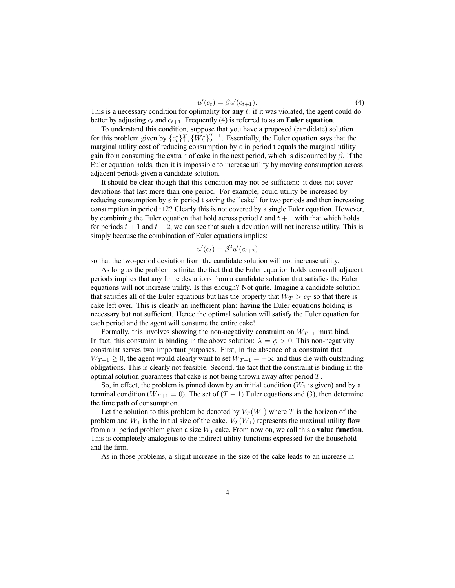$$
u'(c_t) = \beta u'(c_{t+1}).\tag{4}
$$

This is a necessary condition for optimality for **any** t: if it was violated, the agent could do better by adjusting  $c_t$  and  $c_{t+1}$ . Frequently (4) is referred to as an **Euler equation**.

To understand this condition, suppose that you have a proposed (candidate) solution for this problem given by  $\{c_t^*\}_1^T$ ,  $\{W_t^*\}_2^{T+1}$ . Essentially, the Euler equation says that the marginal utility cost of reducing consumption by  $\varepsilon$  in period t equals the marginal utility gain from consuming the extra  $\varepsilon$  of cake in the next period, which is discounted by  $\beta$ . If the Euler equation holds, then it is impossible to increase utility by moving consumption across adjacent periods given a candidate solution.

It should be clear though that this condition may not be sufficient: it does not cover deviations that last more than one period. For example, could utility be increased by reducing consumption by  $\varepsilon$  in period t saving the "cake" for two periods and then increasing consumption in period t+2? Clearly this is not covered by a single Euler equation. However, by combining the Euler equation that hold across period t and  $t + 1$  with that which holds for periods  $t + 1$  and  $t + 2$ , we can see that such a deviation will not increase utility. This is simply because the combination of Euler equations implies:

$$
u'(c_t) = \beta^2 u'(c_{t+2})
$$

so that the two-period deviation from the candidate solution will not increase utility.

As long as the problem is finite, the fact that the Euler equation holds across all adjacent periods implies that any finite deviations from a candidate solution that satisfies the Euler equations will not increase utility. Is this enough? Not quite. Imagine a candidate solution that satisfies all of the Euler equations but has the property that  $W_T > c_T$  so that there is cake left over. This is clearly an inefficient plan: having the Euler equations holding is necessary but not sufficient. Hence the optimal solution will satisfy the Euler equation for each period and the agent will consume the entire cake!

Formally, this involves showing the non-negativity constraint on  $W_{T+1}$  must bind. In fact, this constraint is binding in the above solution:  $\lambda = \phi > 0$ . This non-negativity constraint serves two important purposes. First, in the absence of a constraint that  $W_{T+1} \geq 0$ , the agent would clearly want to set  $W_{T+1} = -\infty$  and thus die with outstanding obligations. This is clearly not feasible. Second, the fact that the constraint is binding in the optimal solution guarantees that cake is not being thrown away after period T.

So, in effect, the problem is pinned down by an initial condition  $(W_1$  is given) and by a terminal condition ( $W_{T+1} = 0$ ). The set of  $(T - 1)$  Euler equations and (3), then determine the time path of consumption.

Let the solution to this problem be denoted by  $V_T(W_1)$  where T is the horizon of the problem and  $W_1$  is the initial size of the cake.  $V_T(W_1)$  represents the maximal utility flow from a  $T$  period problem given a size  $W_1$  cake. From now on, we call this a **value function**. This is completely analogous to the indirect utility functions expressed for the household and the firm.

As in those problems, a slight increase in the size of the cake leads to an increase in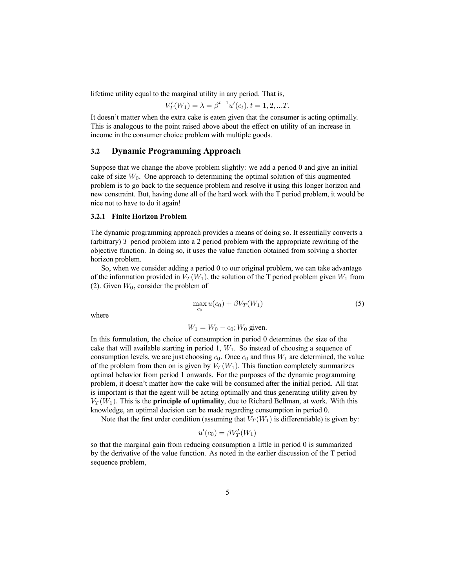lifetime utility equal to the marginal utility in any period. That is,

$$
V'_T(W_1) = \lambda = \beta^{t-1} u'(c_t), t = 1, 2, ...T.
$$

It doesn't matter when the extra cake is eaten given that the consumer is acting optimally. This is analogous to the point raised above about the effect on utility of an increase in income in the consumer choice problem with multiple goods.

#### **3.2 Dynamic Programming Approach**

Suppose that we change the above problem slightly: we add a period 0 and give an initial cake of size  $W_0$ . One approach to determining the optimal solution of this augmented problem is to go back to the sequence problem and resolve it using this longer horizon and new constraint. But, having done all of the hard work with the T period problem, it would be nice not to have to do it again!

#### **3.2.1 Finite Horizon Problem**

The dynamic programming approach provides a means of doing so. It essentially converts a (arbitrary) T period problem into a 2 period problem with the appropriate rewriting of the objective function. In doing so, it uses the value function obtained from solving a shorter horizon problem.

So, when we consider adding a period 0 to our original problem, we can take advantage of the information provided in  $V_T(W_1)$ , the solution of the T period problem given  $W_1$  from (2). Given  $W_0$ , consider the problem of

$$
\max_{c_0} u(c_0) + \beta V_T(W_1) \tag{5}
$$

where

$$
W_1 = W_0 - c_0
$$
;  $W_0$  given.

In this formulation, the choice of consumption in period 0 determines the size of the cake that will available starting in period 1,  $W_1$ . So instead of choosing a sequence of consumption levels, we are just choosing  $c_0$ . Once  $c_0$  and thus  $W_1$  are determined, the value of the problem from then on is given by  $V_T(W_1)$ . This function completely summarizes optimal behavior from period 1 onwards. For the purposes of the dynamic programming problem, it doesn't matter how the cake will be consumed after the initial period. All that is important is that the agent will be acting optimally and thus generating utility given by  $V_T(W_1)$ . This is the **principle of optimality**, due to Richard Bellman, at work. With this knowledge, an optimal decision can be made regarding consumption in period 0.

Note that the first order condition (assuming that  $V_T(W_1)$  is differentiable) is given by:

$$
u'(c_0) = \beta V'_T(W_1)
$$

so that the marginal gain from reducing consumption a little in period 0 is summarized by the derivative of the value function. As noted in the earlier discussion of the T period sequence problem,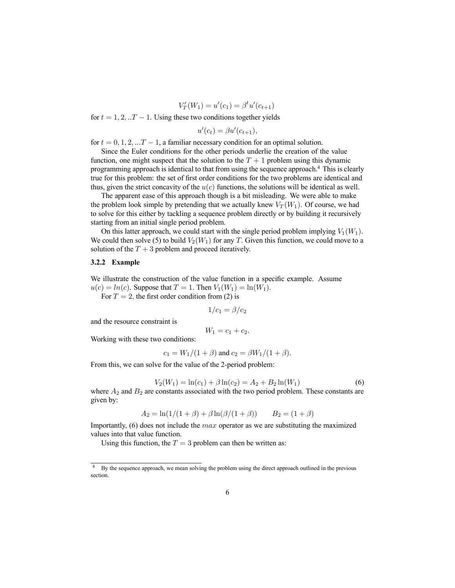$$
V'_T(W_1) = u'(c_1) = \beta^t u'(c_{t+1})
$$

for  $t = 1, 2, \ldots T - 1$ . Using these two conditions together yields

$$
u'(c_t) = \beta u'(c_{t+1}),
$$

for  $t = 0, 1, 2, \ldots T - 1$ , a familiar necessary condition for an optimal solution.

Since the Euler conditions for the other periods underlie the creation of the value function, one might suspect that the solution to the  $T + 1$  problem using this dynamic programming approach is identical to that from using the sequence approach.4 This is clearly true for this problem: the set of first order conditions for the two problems are identical and thus, given the strict concavity of the  $u(c)$  functions, the solutions will be identical as well.

The apparent ease of this approach though is a bit misleading. We were able to make the problem look simple by pretending that we actually knew  $V_T(W_1)$ . Of course, we had to solve for this either by tackling a sequence problem directly or by building it recursively starting from an initial single period problem.

On this latter approach, we could start with the single period problem implying  $V_1(W_1)$ . We could then solve (5) to build  $V_2(W_1)$  for any T. Given this function, we could move to a solution of the  $T + 3$  problem and proceed iteratively.

#### **3.2.2 Example**

We illustrate the construction of the value function in a specific example. Assume  $u(c) = ln(c)$ . Suppose that  $T = 1$ . Then  $V_1(W_1) = ln(W_1)$ .

For  $T = 2$ , the first order condition from (2) is

$$
1/c_1 = \beta/c_2
$$

and the resource constraint is

$$
W_1 = c_1 + c_2.
$$

Working with these two conditions:

$$
c_1 = W_1/(1+\beta)
$$
 and  $c_2 = \beta W_1/(1+\beta)$ .

From this, we can solve for the value of the 2-period problem:

$$
V_2(W_1) = \ln(c_1) + \beta \ln(c_2) = A_2 + B_2 \ln(W_1)
$$
\n(6)

where  $A_2$  and  $B_2$  are constants associated with the two period problem. These constants are given by:

$$
A_2 = \ln(1/(1+\beta) + \beta \ln(\beta/(1+\beta)) \qquad B_2 = (1+\beta)
$$

Importantly,  $(6)$  does not include the *max* operator as we are substituting the maximized values into that value function.

Using this function, the  $T = 3$  problem can then be written as:

<sup>&</sup>lt;sup>4</sup> By the sequence approach, we mean solving the problem using the direct approach outlined in the previous section.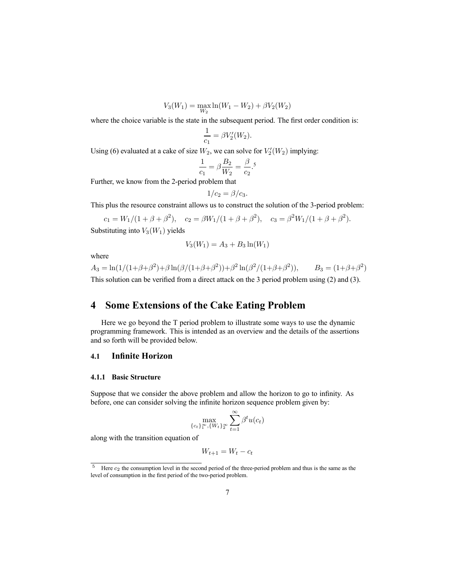$$
V_3(W_1) = \max_{W_2} \ln(W_1 - W_2) + \beta V_2(W_2)
$$

where the choice variable is the state in the subsequent period. The first order condition is:

$$
\frac{1}{c_1} = \beta V_2'(W_2).
$$

Using (6) evaluated at a cake of size  $W_2$ , we can solve for  $V_2'(W_2)$  implying:

$$
\frac{1}{c_1} = \beta \frac{B_2}{W_2} = \frac{\beta}{c_2}.
$$
<sup>5</sup>

Further, we know from the 2-period problem that

$$
1/c_2 = \beta/c_3.
$$

This plus the resource constraint allows us to construct the solution of the 3-period problem:

 $c_1 = W_1/(1+\beta+\beta^2), \quad c_2 = \beta W_1/(1+\beta+\beta^2), \quad c_3 = \beta^2 W_1/(1+\beta+\beta^2).$ Substituting into  $V_3(W_1)$  yields

$$
V_3(W_1) = A_3 + B_3 \ln(W_1)
$$

where

 $A_3 = \ln(1/(1+\beta+\beta^2)+\beta\ln(\beta/(1+\beta+\beta^2))+\beta^2\ln(\beta^2/(1+\beta+\beta^2)),$   $B_3 = (1+\beta+\beta^2)$ This solution can be verified from a direct attack on the 3 period problem using (2) and (3).

# **4 Some Extensions of the Cake Eating Problem**

Here we go beyond the T period problem to illustrate some ways to use the dynamic programming framework. This is intended as an overview and the details of the assertions and so forth will be provided below.

#### **4.1 Infinite Horizon**

#### **4.1.1 Basic Structure**

Suppose that we consider the above problem and allow the horizon to go to infinity. As before, one can consider solving the infinite horizon sequence problem given by:

$$
\max_{\{c_t\}_{1}^{\infty}, \{W_t\}_{2}^{\infty}} \sum_{t=1}^{\infty} \beta^t u(c_t)
$$

along with the transition equation of

$$
W_{t+1} = W_t - c_t
$$

<sup>&</sup>lt;sup>5</sup> Here  $c_2$  the consumption level in the second period of the three-period problem and thus is the same as the level of consumption in the first period of the two-period problem.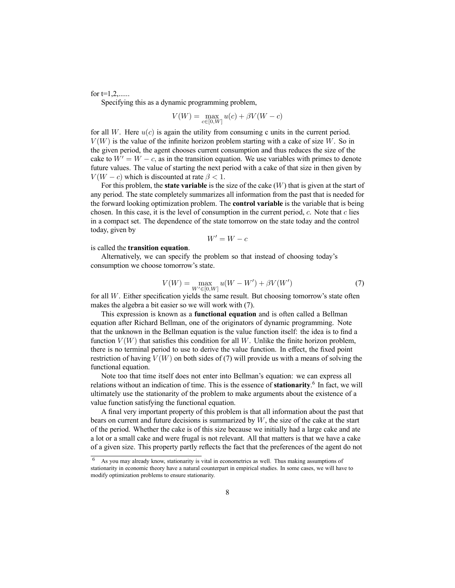for  $t=1,2,......$ 

Specifying this as a dynamic programming problem,

$$
V(W) = \max_{c \in [0, W]} u(c) + \beta V(W - c)
$$

for all W. Here  $u(c)$  is again the utility from consuming c units in the current period.  $V(W)$  is the value of the infinite horizon problem starting with a cake of size W. So in the given period, the agent chooses current consumption and thus reduces the size of the cake to  $W' = W - c$ , as in the transition equation. We use variables with primes to denote future values. The value of starting the next period with a cake of that size in then given by  $V(W - c)$  which is discounted at rate  $\beta < 1$ .

For this problem, the **state variable** is the size of the cake (W) that is given at the start of any period. The state completely summarizes all information from the past that is needed for the forward looking optimization problem. The **control variable** is the variable that is being chosen. In this case, it is the level of consumption in the current period,  $c$ . Note that  $c$  lies in a compact set. The dependence of the state tomorrow on the state today and the control today, given by

$$
W' = W - c
$$

is called the **transition equation**.

Alternatively, we can specify the problem so that instead of choosing today's consumption we choose tomorrow's state.

$$
V(W) = \max_{W' \in [0, W]} u(W - W') + \beta V(W')
$$
\n(7)

for all W. Either specification yields the same result. But choosing tomorrow's state often makes the algebra a bit easier so we will work with (7).

This expression is known as a **functional equation** and is often called a Bellman equation after Richard Bellman, one of the originators of dynamic programming. Note that the unknown in the Bellman equation is the value function itself: the idea is to find a function  $V(W)$  that satisfies this condition for all W. Unlike the finite horizon problem, there is no terminal period to use to derive the value function. In effect, the fixed point restriction of having  $V(W)$  on both sides of (7) will provide us with a means of solving the functional equation.

Note too that time itself does not enter into Bellman's equation: we can express all relations without an indication of time. This is the essence of **stationarity**. <sup>6</sup> In fact, we will ultimately use the stationarity of the problem to make arguments about the existence of a value function satisfying the functional equation.

A final very important property of this problem is that all information about the past that bears on current and future decisions is summarized by  $W$ , the size of the cake at the start of the period. Whether the cake is of this size because we initially had a large cake and ate a lot or a small cake and were frugal is not relevant. All that matters is that we have a cake of a given size. This property partly reflects the fact that the preferences of the agent do not

As you may already know, stationarity is vital in econometrics as well. Thus making assumptions of stationarity in economic theory have a natural counterpart in empirical studies. In some cases, we will have to modify optimization problems to ensure stationarity.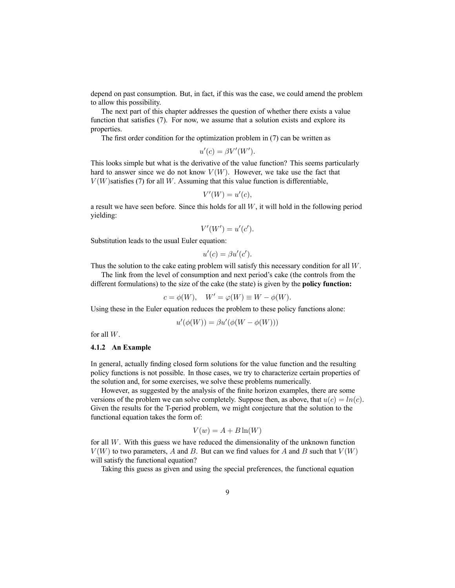depend on past consumption. But, in fact, if this was the case, we could amend the problem to allow this possibility.

The next part of this chapter addresses the question of whether there exists a value function that satisfies (7). For now, we assume that a solution exists and explore its properties.

The first order condition for the optimization problem in (7) can be written as

$$
u'(c) = \beta V'(W').
$$

This looks simple but what is the derivative of the value function? This seems particularly hard to answer since we do not know  $V(W)$ . However, we take use the fact that  $V(W)$  satisfies (7) for all W. Assuming that this value function is differentiable,

$$
V'(W) = u'(c),
$$

a result we have seen before. Since this holds for all  $W$ , it will hold in the following period yielding:

$$
V'(W') = u'(c').
$$

Substitution leads to the usual Euler equation:

$$
u'(c) = \beta u'(c').
$$

Thus the solution to the cake eating problem will satisfy this necessary condition for all W.

The link from the level of consumption and next period's cake (the controls from the different formulations) to the size of the cake (the state) is given by the **policy function:**

$$
c = \phi(W), \quad W' = \varphi(W) \equiv W - \phi(W).
$$

Using these in the Euler equation reduces the problem to these policy functions alone:

$$
u'(\phi(W)) = \beta u'(\phi(W - \phi(W)))
$$

for all W.

#### **4.1.2 An Example**

In general, actually finding closed form solutions for the value function and the resulting policy functions is not possible. In those cases, we try to characterize certain properties of the solution and, for some exercises, we solve these problems numerically.

However, as suggested by the analysis of the finite horizon examples, there are some versions of the problem we can solve completely. Suppose then, as above, that  $u(c) = ln(c)$ . Given the results for the T-period problem, we might conjecture that the solution to the functional equation takes the form of:

$$
V(w) = A + B\ln(W)
$$

for all  $W$ . With this guess we have reduced the dimensionality of the unknown function  $V(W)$  to two parameters, A and B. But can we find values for A and B such that  $V(W)$ will satisfy the functional equation?

Taking this guess as given and using the special preferences, the functional equation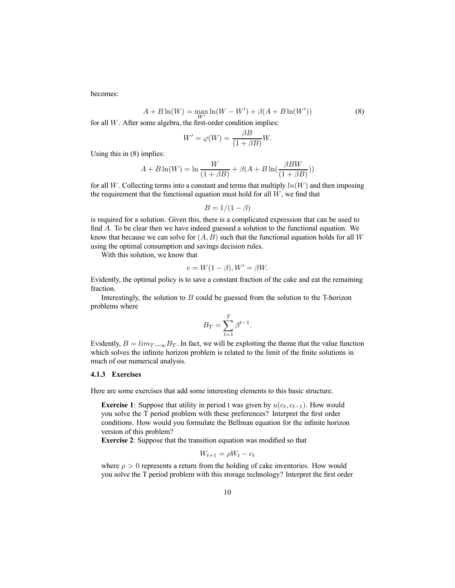becomes:

$$
A + B\ln(W) = \max_{W'} \ln(W - W') + \beta(A + B\ln(W')) \tag{8}
$$

for all  $W$ . After some algebra, the first-order condition implies:

$$
W' = \varphi(W) = \frac{\beta B}{(1 + \beta B)}W.
$$

Using this in (8) implies:

$$
A + B\ln(W) = \ln\frac{W}{(1+\beta B)} + \beta(A + B\ln(\frac{\beta BW}{(1+\beta B)}))
$$

for all W. Collecting terms into a constant and terms that multiply  $ln(W)$  and then imposing the requirement that the functional equation must hold for all  $W$ , we find that

$$
B=1/(1-\beta)
$$

is required for a solution. Given this, there is a complicated expression that can be used to find A. To be clear then we have indeed guessed a solution to the functional equation. We know that because we can solve for  $(A, B)$  such that the functional equation holds for all W using the optimal consumption and savings decision rules.

With this solution, we know that

$$
c = W(1 - \beta), W' = \beta W.
$$

Evidently, the optimal policy is to save a constant fraction of the cake and eat the remaining fraction.

Interestingly, the solution to  $B$  could be guessed from the solution to the T-horizon problems where

$$
B_T = \sum_{t=1}^T \beta^{t-1}.
$$

Evidently,  $B = \lim_{T \to \infty} B_T$ . In fact, we will be exploiting the theme that the value function which solves the infinite horizon problem is related to the limit of the finite solutions in much of our numerical analysis.

#### **4.1.3 Exercises**

Here are some exercises that add some interesting elements to this basic structure.

**Exercise 1**: Suppose that utility in period t was given by  $u(c_t, c_{t-1})$ . How would you solve the T period problem with these preferences? Interpret the first order conditions. How would you formulate the Bellman equation for the infinite horizon version of this problem?

**Exercise 2**: Suppose that the transition equation was modified so that

 $W_{t+1} = \rho W_t - c_t$ 

where  $\rho > 0$  represents a return from the holding of cake inventories. How would you solve the T period problem with this storage technology? Interpret the first order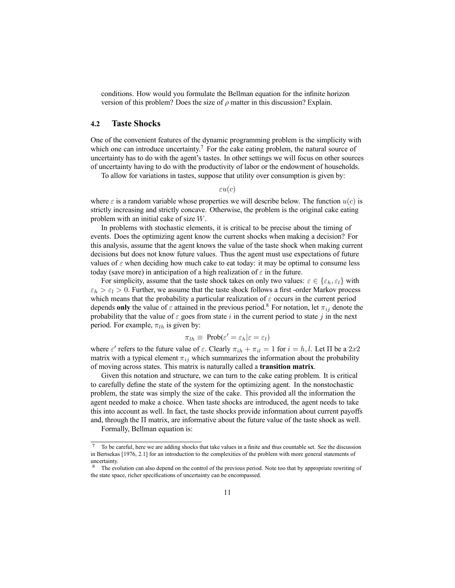conditions. How would you formulate the Bellman equation for the infinite horizon version of this problem? Does the size of  $\rho$  matter in this discussion? Explain.

#### **4.2 Taste Shocks**

One of the convenient features of the dynamic programming problem is the simplicity with which one can introduce uncertainty.<sup>7</sup> For the cake eating problem, the natural source of uncertainty has to do with the agent's tastes. In other settings we will focus on other sources of uncertainty having to do with the productivity of labor or the endowment of households.

To allow for variations in tastes, suppose that utility over consumption is given by:

 $\varepsilon u(c)$ 

where  $\varepsilon$  is a random variable whose properties we will describe below. The function  $u(c)$  is strictly increasing and strictly concave. Otherwise, the problem is the original cake eating problem with an initial cake of size W.

In problems with stochastic elements, it is critical to be precise about the timing of events. Does the optimizing agent know the current shocks when making a decision? For this analysis, assume that the agent knows the value of the taste shock when making current decisions but does not know future values. Thus the agent must use expectations of future values of  $\varepsilon$  when deciding how much cake to eat today: it may be optimal to consume less today (save more) in anticipation of a high realization of  $\varepsilon$  in the future.

For simplicity, assume that the taste shock takes on only two values:  $\varepsilon \in {\varepsilon_h, \varepsilon_l}$  with  $\varepsilon_h > \varepsilon_l > 0$ . Further, we assume that the taste shock follows a first -order Markov process which means that the probability a particular realization of  $\varepsilon$  occurs in the current period depends **only** the value of  $\varepsilon$  attained in the previous period.<sup>8</sup> For notation, let  $\pi_{ij}$  denote the probability that the value of  $\varepsilon$  goes from state i in the current period to state j in the next period. For example,  $\pi_{lh}$  is given by:

$$
\pi_{lh} \equiv \text{Prob}(\varepsilon' = \varepsilon_h | \varepsilon = \varepsilon_l)
$$

where  $\varepsilon'$  refers to the future value of  $\varepsilon$ . Clearly  $\pi_{ih} + \pi_{il} = 1$  for  $i = h, l$ . Let  $\Pi$  be a 2x2 matrix with a typical element  $\pi_{ij}$  which summarizes the information about the probability of moving across states. This matrix is naturally called a **transition matrix**.

Given this notation and structure, we can turn to the cake eating problem. It is critical to carefully define the state of the system for the optimizing agent. In the nonstochastic problem, the state was simply the size of the cake. This provided all the information the agent needed to make a choice. When taste shocks are introduced, the agent needs to take this into account as well. In fact, the taste shocks provide information about current payoffs and, through the Π matrix, are informative about the future value of the taste shock as well.

Formally, Bellman equation is:

<sup>7</sup> To be careful, here we are adding shocks that take values in a finite and thus countable set. See the discussion in Bertsekas [1976, 2.1] for an introduction to the complexities of the problem with more general statements of uncertainty.

The evolution can also depend on the control of the previous period. Note too that by appropriate rewriting of the state space, richer specifications of uncertainty can be encompassed.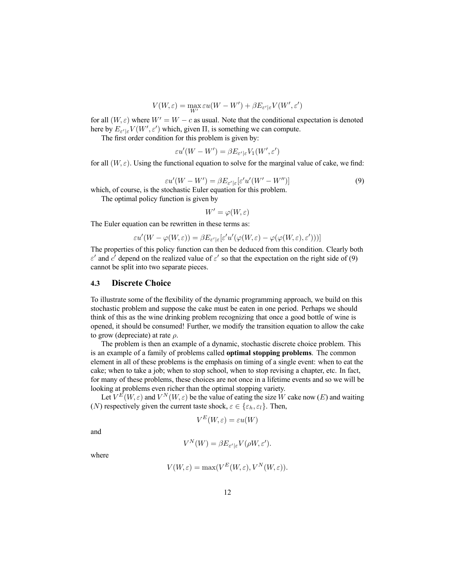$$
V(W,\varepsilon) = \max_{W'} \varepsilon u(W-W') + \beta E_{\varepsilon'|\varepsilon} V(W',\varepsilon')
$$

for all  $(W, \varepsilon)$  where  $W' = W - c$  as usual. Note that the conditional expectation is denoted here by  $E_{\varepsilon'|\varepsilon}V(W',\varepsilon')$  which, given  $\Pi$ , is something we can compute.

The first order condition for this problem is given by:

$$
\varepsilon u'(W - W') = \beta E_{\varepsilon'|\varepsilon} V_1(W', \varepsilon')
$$

for all  $(W, \varepsilon)$ . Using the functional equation to solve for the marginal value of cake, we find:

$$
\varepsilon u'(W - W') = \beta E_{\varepsilon'|\varepsilon} [\varepsilon' u'(W' - W'')] \tag{9}
$$

which, of course, is the stochastic Euler equation for this problem.

The optimal policy function is given by

 $W' = \varphi(W, \varepsilon)$ 

The Euler equation can be rewritten in these terms as:

$$
\varepsilon u'(W - \varphi(W, \varepsilon)) = \beta E_{\varepsilon'|\varepsilon} [\varepsilon' u'(\varphi(W, \varepsilon) - \varphi(\varphi(W, \varepsilon), \varepsilon')))]
$$

The properties of this policy function can then be deduced from this condition. Clearly both  $ε'$  and  $c'$  depend on the realized value of  $ε'$  so that the expectation on the right side of (9) cannot be split into two separate pieces.

#### **4.3 Discrete Choice**

To illustrate some of the flexibility of the dynamic programming approach, we build on this stochastic problem and suppose the cake must be eaten in one period. Perhaps we should think of this as the wine drinking problem recognizing that once a good bottle of wine is opened, it should be consumed! Further, we modify the transition equation to allow the cake to grow (depreciate) at rate  $\rho$ .

The problem is then an example of a dynamic, stochastic discrete choice problem. This is an example of a family of problems called **optimal stopping problems**. The common element in all of these problems is the emphasis on timing of a single event: when to eat the cake; when to take a job; when to stop school, when to stop revising a chapter, etc. In fact, for many of these problems, these choices are not once in a lifetime events and so we will be looking at problems even richer than the optimal stopping variety.

Let  $V^{E}(W, \varepsilon)$  and  $V^{N}(W, \varepsilon)$  be the value of eating the size W cake now  $(E)$  and waiting (N) respectively given the current taste shock,  $\varepsilon \in \{\varepsilon_h, \varepsilon_l\}$ . Then,

$$
V^E(W,\varepsilon)=\varepsilon u(W)
$$

and

$$
V^N(W) = \beta E_{\varepsilon'|\varepsilon} V(\rho W, \varepsilon').
$$

where

$$
V(W,\varepsilon) = \max(V^{E}(W,\varepsilon), V^{N}(W,\varepsilon)).
$$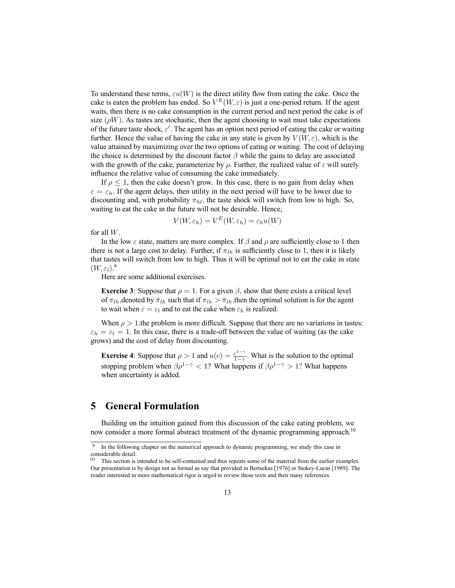To understand these terms,  $\varepsilon u(W)$  is the direct utility flow from eating the cake. Once the cake is eaten the problem has ended. So  $V^{E}(W, \varepsilon)$  is just a one-period return. If the agent waits, then there is no cake consumption in the current period and next period the cake is of size ( $\rho W$ ). As tastes are stochastic, then the agent choosing to wait must take expectations of the future taste shock,  $\varepsilon'$ . The agent has an option next period of eating the cake or waiting further. Hence the value of having the cake in any state is given by  $V(W, \varepsilon)$ , which is the value attained by maximizing over the two options of eating or waiting. The cost of delaying the choice is determined by the discount factor  $\beta$  while the gains to delay are associated with the growth of the cake, parameterize by  $\rho$ . Further, the realized value of  $\varepsilon$  will surely influence the relative value of consuming the cake immediately.

If  $\rho \leq 1$ , then the cake doesn't grow. In this case, there is no gain from delay when  $\varepsilon = \varepsilon_h$ . If the agent delays, then utility in the next period will have to be lower due to discounting and, with probability  $\pi_{hl}$ , the taste shock will switch from low to high. So, waiting to eat the cake in the future will not be desirable. Hence,

$$
V(W, \varepsilon_h) = V^E(W, \varepsilon_h) = \varepsilon_h u(W)
$$

for all W.

In the low  $\varepsilon$  state, matters are more complex. If  $\beta$  and  $\rho$  are sufficiently close to 1 then there is not a large cost to delay. Further, if  $\pi_{lh}$  is sufficiently close to 1, then it is likely that tastes will switch from low to high. Thus it will be optimal not to eat the cake in state  $(W, \varepsilon_l).$ <sup>9</sup>

Here are some additional exercises.

**Exercise 3**: Suppose that  $\rho = 1$ . For a given  $\beta$ , show that there exists a critical level of  $\pi_{lh}$ , denoted by  $\bar{\pi}_{lh}$  such that if  $\pi_{lh} > \bar{\pi}_{lh}$ , then the optimal solution is for the agent to wait when  $\varepsilon = \varepsilon_l$  and to eat the cake when  $\varepsilon_h$  is realized.

When  $\rho > 1$ , the problem is more difficult. Suppose that there are no variations in tastes:  $\varepsilon_h = \varepsilon_l = 1$ . In this case, there is a trade-off between the value of waiting (as the cake grows) and the cost of delay from discounting.

**Exercise 4**: Suppose that  $\rho > 1$  and  $u(c) = \frac{c^{1-\gamma}}{1-\gamma}$ . What is the solution to the optimal stopping problem when  $\beta \rho^{1-\gamma} < 1$ ? What happens if  $\beta \rho^{1-\gamma} > 1$ ? What happens when uncertainty is added.

# **5 General Formulation**

Building on the intuition gained from this discussion of the cake eating problem, we now consider a more formal abstract treatment of the dynamic programming approach.<sup>10</sup>

<sup>&</sup>lt;sup>9</sup> In the following chapter on the numerical approach to dynamic programming, we study this case in considerable detail.

<sup>&</sup>lt;sup>10</sup> This section is intended to be self-contained and thus repeats some of the material from the earlier examples. Our presentation is by design not as formal as say that provided in Bertsekas [1976] or Stokey-Lucas [1989]. The reader interested in more mathematical rigor is urged to review those texts and their many references.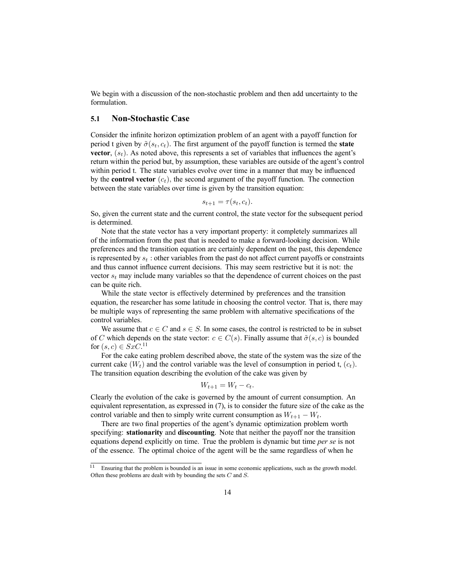We begin with a discussion of the non-stochastic problem and then add uncertainty to the formulation.

### **5.1 Non-Stochastic Case**

Consider the infinite horizon optimization problem of an agent with a payoff function for period t given by  $\tilde{\sigma}(s_t, c_t)$ . The first argument of the payoff function is termed the **state vector**,  $(s_t)$ . As noted above, this represents a set of variables that influences the agent's return within the period but, by assumption, these variables are outside of the agent's control within period t. The state variables evolve over time in a manner that may be influenced by the **control vector**  $(c_t)$ , the second argument of the payoff function. The connection between the state variables over time is given by the transition equation:

$$
s_{t+1} = \tau(s_t, c_t).
$$

So, given the current state and the current control, the state vector for the subsequent period is determined.

Note that the state vector has a very important property: it completely summarizes all of the information from the past that is needed to make a forward-looking decision. While preferences and the transition equation are certainly dependent on the past, this dependence is represented by  $s_t$ : other variables from the past do not affect current payoffs or constraints and thus cannot influence current decisions. This may seem restrictive but it is not: the vector  $s_t$  may include many variables so that the dependence of current choices on the past can be quite rich.

While the state vector is effectively determined by preferences and the transition equation, the researcher has some latitude in choosing the control vector. That is, there may be multiple ways of representing the same problem with alternative specifications of the control variables.

We assume that  $c \in C$  and  $s \in S$ . In some cases, the control is restricted to be in subset of C which depends on the state vector:  $c \in C(s)$ . Finally assume that  $\tilde{\sigma}(s, c)$  is bounded for  $(s, c) \in SxC$ .<sup>11</sup>

For the cake eating problem described above, the state of the system was the size of the current cake  $(W_t)$  and the control variable was the level of consumption in period t,  $(c_t)$ . The transition equation describing the evolution of the cake was given by

$$
W_{t+1} = W_t - c_t.
$$

Clearly the evolution of the cake is governed by the amount of current consumption. An equivalent representation, as expressed in (7), is to consider the future size of the cake as the control variable and then to simply write current consumption as  $W_{t+1} - W_t$ .

There are two final properties of the agent's dynamic optimization problem worth specifying: **stationarity** and **discounting**. Note that neither the payoff nor the transition equations depend explicitly on time. True the problem is dynamic but time *per se* is not of the essence. The optimal choice of the agent will be the same regardless of when he

<sup>&</sup>lt;sup>11</sup> Ensuring that the problem is bounded is an issue in some economic applications, such as the growth model. Often these problems are dealt with by bounding the sets C and S.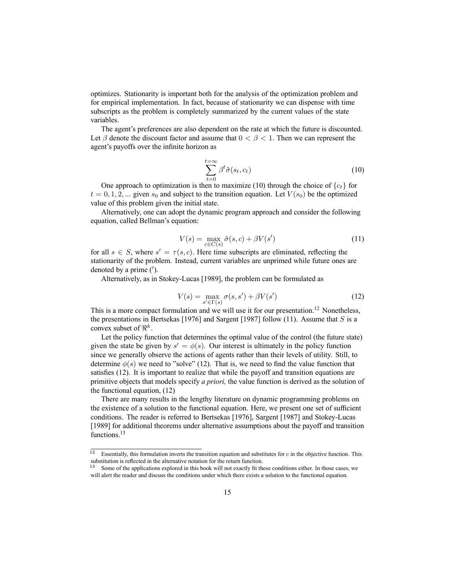optimizes. Stationarity is important both for the analysis of the optimization problem and for empirical implementation. In fact, because of stationarity we can dispense with time subscripts as the problem is completely summarized by the current values of the state variables.

The agent's preferences are also dependent on the rate at which the future is discounted. Let  $\beta$  denote the discount factor and assume that  $0 < \beta < 1$ . Then we can represent the agent's payoffs over the infinite horizon as

$$
\sum_{t=0}^{t=\infty} \beta^t \tilde{\sigma}(s_t, c_t)
$$
\n(10)

One approach to optimization is then to maximize (10) through the choice of  ${c_t}$  for  $t = 0, 1, 2, ...$  given  $s_0$  and subject to the transition equation. Let  $V(s_0)$  be the optimized value of this problem given the initial state.

Alternatively, one can adopt the dynamic program approach and consider the following equation, called Bellman's equation:

$$
V(s) = \max_{c \in C(s)} \tilde{\sigma}(s, c) + \beta V(s')
$$
\n(11)

for all  $s \in S$ , where  $s' = \tau(s, c)$ . Here time subscripts are eliminated, reflecting the stationarity of the problem. Instead, current variables are unprimed while future ones are denoted by a prime  $(')$ .

Alternatively, as in Stokey-Lucas [1989], the problem can be formulated as

$$
V(s) = \max_{s' \in \Gamma(s)} \sigma(s, s') + \beta V(s')
$$
 (12)

This is a more compact formulation and we will use it for our presentation.<sup>12</sup> Nonetheless, the presentations in Bertsekas [1976] and Sargent [1987] follow (11). Assume that  $S$  is a convex subset of  $\mathbb{R}^k$ .

Let the policy function that determines the optimal value of the control (the future state) given the state be given by  $s' = \phi(s)$ . Our interest is ultimately in the policy function since we generally observe the actions of agents rather than their levels of utility. Still, to determine  $\phi(s)$  we need to "solve" (12). That is, we need to find the value function that satisfies (12). It is important to realize that while the payoff and transition equations are primitive objects that models specify *a priori,* the value function is derived as the solution of the functional equation, (12)

There are many results in the lengthy literature on dynamic programming problems on the existence of a solution to the functional equation. Here, we present one set of sufficient conditions. The reader is referred to Bertsekas [1976], Sargent [1987] and Stokey-Lucas [1989] for additional theorems under alternative assumptions about the payoff and transition functions.<sup>13</sup>

 $12$  Essentially, this formulation inverts the transition equation and substitutes for c in the objective function. This substitution is reflected in the alternative notation for the return function.<br><sup>13</sup> Some of the emplications such that

Some of the applications explored in this book will not exactly fit these conditions either. In those cases, we will alert the reader and discuss the conditions under which there exists a solution to the functional equation.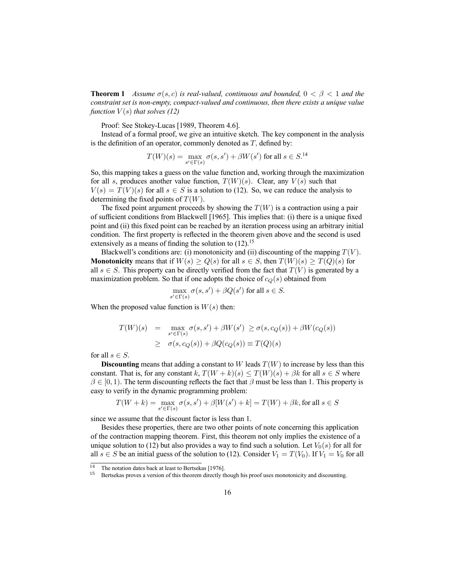**Theorem 1** *Assume*  $\sigma(s, c)$  *is real-valued, continuous and bounded,*  $0 < \beta < 1$  *and the constraint set is non-empty, compact-valued and continuous, then there exists a unique value function*  $V(s)$  *that solves* (12)

Proof: See Stokey-Lucas [1989, Theorem 4.6].

Instead of a formal proof, we give an intuitive sketch. The key component in the analysis is the definition of an operator, commonly denoted as  $T$ , defined by:

$$
T(W)(s) = \max_{s' \in \Gamma(s)} \sigma(s, s') + \beta W(s')
$$
 for all  $s \in S$ .<sup>14</sup>

So, this mapping takes a guess on the value function and, working through the maximization for all s, produces another value function,  $T(W)(s)$ . Clear, any  $V(s)$  such that  $V(s) = T(V)(s)$  for all  $s \in S$  is a solution to (12). So, we can reduce the analysis to determining the fixed points of  $T(W)$ .

The fixed point argument proceeds by showing the  $T(W)$  is a contraction using a pair of sufficient conditions from Blackwell [1965]. This implies that: (i) there is a unique fixed point and (ii) this fixed point can be reached by an iteration process using an arbitrary initial condition. The first property is reflected in the theorem given above and the second is used extensively as a means of finding the solution to  $(12)$ .<sup>15</sup>

Blackwell's conditions are: (i) monotonicity and (ii) discounting of the mapping  $T(V)$ . **Monotonicity** means that if  $W(s) \ge Q(s)$  for all  $s \in S$ , then  $T(W)(s) \ge T(Q)(s)$  for all  $s \in S$ . This property can be directly verified from the fact that  $T(V)$  is generated by a maximization problem. So that if one adopts the choice of  $c_Q(s)$  obtained from

$$
\max_{s' \in \Gamma(s)} \sigma(s, s') + \beta Q(s') \text{ for all } s \in S.
$$

When the proposed value function is  $W(s)$  then:

$$
T(W)(s) = \max_{s' \in \Gamma(s)} \sigma(s, s') + \beta W(s') \ge \sigma(s, c_Q(s)) + \beta W(c_Q(s))
$$
  
 
$$
\ge \sigma(s, c_Q(s)) + \beta Q(c_Q(s)) \equiv T(Q)(s)
$$

for all  $s \in S$ .

**Discounting** means that adding a constant to W leads  $T(W)$  to increase by less than this constant. That is, for any constant k,  $T(W + k)(s) \leq T(W)(s) + \beta k$  for all  $s \in S$  where  $\beta \in [0, 1)$ . The term discounting reflects the fact that  $\beta$  must be less than 1. This property is easy to verify in the dynamic programming problem:

$$
T(W + k) = \max_{s' \in \Gamma(s)} \sigma(s, s') + \beta[W(s') + k] = T(W) + \beta k
$$
, for all  $s \in S$ 

since we assume that the discount factor is less than 1.

Besides these properties, there are two other points of note concerning this application of the contraction mapping theorem. First, this theorem not only implies the existence of a unique solution to (12) but also provides a way to find such a solution. Let  $V_0(s)$  for all for all  $s \in S$  be an initial guess of the solution to (12). Consider  $V_1 = T(V_0)$ . If  $V_1 = V_0$  for all

<sup>&</sup>lt;sup>14</sup> The notation dates back at least to Bertsekas [1976].

<sup>15</sup> Bertsekas proves a version of this theorem directly though his proof uses monotonicity and discounting.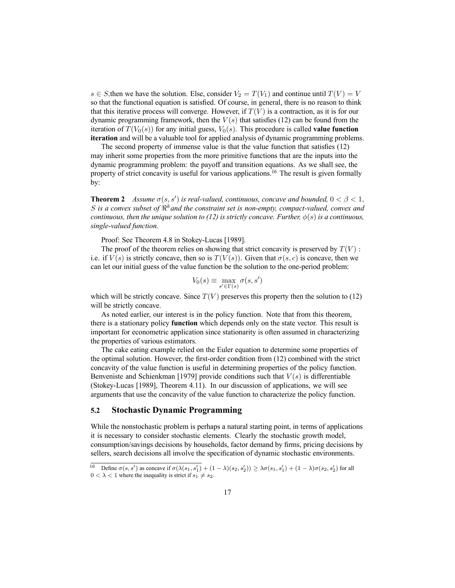s ∈ S, then we have the solution. Else, consider  $V_2 = T(V_1)$  and continue until  $T(V) = V_1$ so that the functional equation is satisfied. Of course, in general, there is no reason to think that this iterative process will converge. However, if  $T(V)$  is a contraction, as it is for our dynamic programming framework, then the  $V(s)$  that satisfies (12) can be found from the iteration of  $T(V_0(s))$  for any initial guess,  $V_0(s)$ . This procedure is called **value function iteration** and will be a valuable tool for applied analysis of dynamic programming problems.

The second property of immense value is that the value function that satisfies (12) may inherit some properties from the more primitive functions that are the inputs into the dynamic programming problem: the payoff and transition equations. As we shall see, the property of strict concavity is useful for various applications.<sup>16</sup> The result is given formally by:

**Theorem 2** *Assume*  $\sigma(s, s')$  *is real-valued, continuous, concave and bounded,*  $0 < \beta < 1$ , S is a convex subset of  $\Re^k$  and the constraint set is non-empty, compact-valued, convex and *continuous, then the unique solution to (12) is strictly concave. Further,*  $\phi(s)$  *is a continuous, single-valued function.*

Proof: See Theorem 4.8 in Stokey-Lucas [1989].

The proof of the theorem relies on showing that strict concavity is preserved by  $T(V)$ : i.e. if  $V(s)$  is strictly concave, then so is  $T(V(s))$ . Given that  $\sigma(s, c)$  is concave, then we can let our initial guess of the value function be the solution to the one-period problem:

$$
V_0(s) \equiv \max_{s' \in \Gamma(s)} \sigma(s, s')
$$

which will be strictly concave. Since  $T(V)$  preserves this property then the solution to (12) will be strictly concave.

As noted earlier, our interest is in the policy function. Note that from this theorem, there is a stationary policy **function** which depends only on the state vector. This result is important for econometric application since stationarity is often assumed in characterizing the properties of various estimators.

The cake eating example relied on the Euler equation to determine some properties of the optimal solution. However, the first-order condition from (12) combined with the strict concavity of the value function is useful in determining properties of the policy function. Benveniste and Schienkman [1979] provide conditions such that  $V(s)$  is differentiable (Stokey-Lucas [1989], Theorem 4.11). In our discussion of applications, we will see arguments that use the concavity of the value function to characterize the policy function.

#### **5.2 Stochastic Dynamic Programming**

While the nonstochastic problem is perhaps a natural starting point, in terms of applications it is necessary to consider stochastic elements. Clearly the stochastic growth model, consumption/savings decisions by households, factor demand by firms, pricing decisions by sellers, search decisions all involve the specification of dynamic stochastic environments.

<sup>16</sup> Define  $\sigma(s, s')$  as concave if  $\sigma(\lambda(s_1, s_1') + (1 - \lambda)(s_2, s_2')) \geq \lambda \sigma(s_1, s_1') + (1 - \lambda)\sigma(s_2, s_2')$  for all  $0 < \lambda < 1$  where the inequality is strict if  $s_1 \neq s_2$ .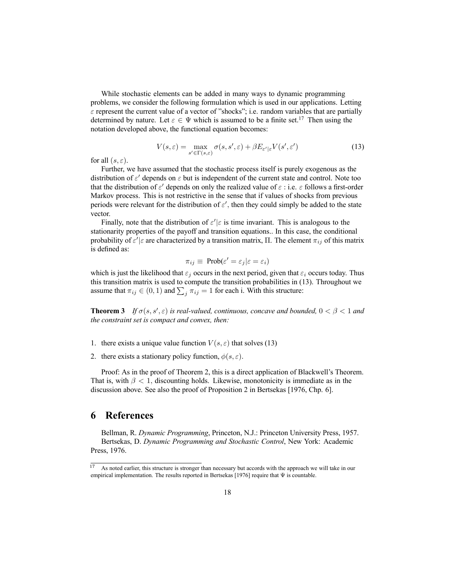While stochastic elements can be added in many ways to dynamic programming problems, we consider the following formulation which is used in our applications. Letting  $\varepsilon$  represent the current value of a vector of "shocks"; i.e. random variables that are partially determined by nature. Let  $\varepsilon \in \Psi$  which is assumed to be a finite set.<sup>17</sup> Then using the notation developed above, the functional equation becomes:

$$
V(s,\varepsilon) = \max_{s' \in \Gamma(s,\varepsilon)} \sigma(s,s',\varepsilon) + \beta E_{\varepsilon'|\varepsilon} V(s',\varepsilon')
$$
(13)

for all  $(s, \varepsilon)$ .

Further, we have assumed that the stochastic process itself is purely exogenous as the distribution of  $\varepsilon'$  depends on  $\varepsilon$  but is independent of the current state and control. Note too that the distribution of  $\varepsilon'$  depends on only the realized value of  $\varepsilon$  : i.e.  $\varepsilon$  follows a first-order Markov process. This is not restrictive in the sense that if values of shocks from previous periods were relevant for the distribution of  $\varepsilon'$ , then they could simply be added to the state vector.

Finally, note that the distribution of  $\varepsilon'|\varepsilon$  is time invariant. This is analogous to the stationarity properties of the payoff and transition equations.. In this case, the conditional probability of  $\varepsilon'$   $|\varepsilon$  are characterized by a transition matrix,  $\Pi$ . The element  $\pi_{ij}$  of this matrix is defined as:

$$
\pi_{ij} \equiv \text{Prob}(\varepsilon' = \varepsilon_j | \varepsilon = \varepsilon_i)
$$

which is just the likelihood that  $\varepsilon_i$  occurs in the next period, given that  $\varepsilon_i$  occurs today. Thus this transition matrix is used to compute the transition probabilities in (13). Throughout we assume that  $\pi_{ij} \in (0, 1)$  and  $\sum_j \pi_{ij} = 1$  for each i. With this structure:

**Theorem 3** *If*  $\sigma(s, s', \varepsilon)$  *is real-valued, continuous, concave and bounded,*  $0 < \beta < 1$  *and the constraint set is compact and convex, then:*

- 1. there exists a unique value function  $V(s, \varepsilon)$  that solves (13)
- 2. there exists a stationary policy function,  $\phi(s, \varepsilon)$ .

Proof: As in the proof of Theorem 2, this is a direct application of Blackwell's Theorem. That is, with  $\beta$  < 1, discounting holds. Likewise, monotonicity is immediate as in the discussion above. See also the proof of Proposition 2 in Bertsekas [1976, Chp. 6].

### **6 References**

Bellman, R. *Dynamic Programming*, Princeton, N.J.: Princeton University Press, 1957. Bertsekas, D. *Dynamic Programming and Stochastic Control*, New York: Academic Press, 1976.

<sup>&</sup>lt;sup>17</sup> As noted earlier, this structure is stronger than necessary but accords with the approach we will take in our empirical implementation. The results reported in Bertsekas [1976] require that Ψ is countable.